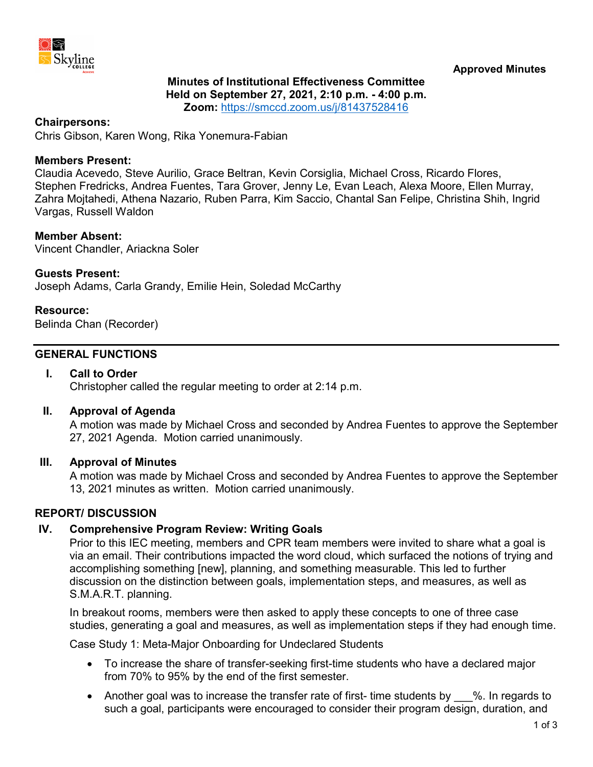

### **Minutes of Institutional Effectiveness Committee Held on September 27, 2021, 2:10 p.m. - 4:00 p.m. Zoom:** <https://smccd.zoom.us/j/81437528416>

#### **Chairpersons:**

Chris Gibson, Karen Wong, Rika Yonemura-Fabian

#### **Members Present:**

Claudia Acevedo, Steve Aurilio, Grace Beltran, Kevin Corsiglia, Michael Cross, Ricardo Flores, Stephen Fredricks, Andrea Fuentes, Tara Grover, Jenny Le, Evan Leach, Alexa Moore, Ellen Murray, Zahra Mojtahedi, Athena Nazario, Ruben Parra, Kim Saccio, Chantal San Felipe, Christina Shih, Ingrid Vargas, Russell Waldon

#### **Member Absent:**

Vincent Chandler, Ariackna Soler

### **Guests Present:**

Joseph Adams, Carla Grandy, Emilie Hein, Soledad McCarthy

#### **Resource:**

Belinda Chan (Recorder)

### **GENERAL FUNCTIONS**

### **I. Call to Order**

Christopher called the regular meeting to order at 2:14 p.m.

### **II. Approval of Agenda**

A motion was made by Michael Cross and seconded by Andrea Fuentes to approve the September 27, 2021 Agenda. Motion carried unanimously.

### **III. Approval of Minutes**

A motion was made by Michael Cross and seconded by Andrea Fuentes to approve the September 13, 2021 minutes as written. Motion carried unanimously.

### **REPORT/ DISCUSSION**

### **IV. Comprehensive Program Review: Writing Goals**

Prior to this IEC meeting, members and CPR team members were invited to share what a goal is via an email. Their contributions impacted the word cloud, which surfaced the notions of trying and accomplishing something [new], planning, and something measurable. This led to further discussion on the distinction between goals, implementation steps, and measures, as well as S.M.A.R.T. planning.

In breakout rooms, members were then asked to apply these concepts to one of three case studies, generating a goal and measures, as well as implementation steps if they had enough time.

Case Study 1: Meta-Major Onboarding for Undeclared Students

- To increase the share of transfer-seeking first-time students who have a declared major from 70% to 95% by the end of the first semester.
- Another goal was to increase the transfer rate of first- time students by %. In regards to such a goal, participants were encouraged to consider their program design, duration, and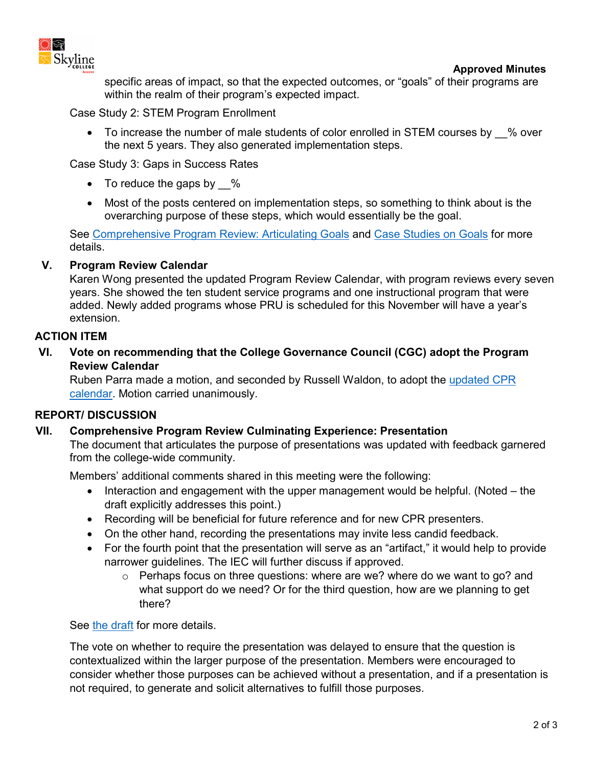

specific areas of impact, so that the expected outcomes, or "goals" of their programs are within the realm of their program's expected impact.

Case Study 2: STEM Program Enrollment

• To increase the number of male students of color enrolled in STEM courses by % over the next 5 years. They also generated implementation steps.

Case Study 3: Gaps in Success Rates

- To reduce the gaps by  $\%$
- Most of the posts centered on implementation steps, so something to think about is the overarching purpose of these steps, which would essentially be the goal.

See [Comprehensive Program Review: Articulating Goals](https://www.skylinecollege.edu/iec/assets/agendas/2021-2022/IEC-CPR-ArticulatingGoals.pdf) and [Case Studies on Goals](https://www.skylinecollege.edu/iec/assets/agendas/2021-2022/IEC-JamBoard-CaseStudies.pdf) for more details.

## **V. Program Review Calendar**

Karen Wong presented the updated Program Review Calendar, with program reviews every seven years. She showed the ten student service programs and one instructional program that were added. Newly added programs whose PRU is scheduled for this November will have a year's extension.

## **ACTION ITEM**

**VI. Vote on recommending that the College Governance Council (CGC) adopt the Program Review Calendar**

Ruben Parra made a motion, and seconded by Russell Waldon, to adopt the [updated CPR](https://www.skylinecollege.edu/programreview/cpr/assets/PRSchedule.pdf)  [calendar.](https://www.skylinecollege.edu/programreview/cpr/assets/PRSchedule.pdf) Motion carried unanimously.

# **REPORT/ DISCUSSION**

# **VII. Comprehensive Program Review Culminating Experience: Presentation**

The document that articulates the purpose of presentations was updated with feedback garnered from the college-wide community.

Members' additional comments shared in this meeting were the following:

- Interaction and engagement with the upper management would be helpful. (Noted the draft explicitly addresses this point.)
- Recording will be beneficial for future reference and for new CPR presenters.
- On the other hand, recording the presentations may invite less candid feedback.
- For the fourth point that the presentation will serve as an "artifact," it would help to provide narrower guidelines. The IEC will further discuss if approved.
	- o Perhaps focus on three questions: where are we? where do we want to go? and what support do we need? Or for the third question, how are we planning to get there?

See [the draft](https://skylinecollege.edu/iec/assets/agendas/2021-2022/CPRPresentations-FormativeFeedback.pdf) for more details.

The vote on whether to require the presentation was delayed to ensure that the question is contextualized within the larger purpose of the presentation. Members were encouraged to consider whether those purposes can be achieved without a presentation, and if a presentation is not required, to generate and solicit alternatives to fulfill those purposes.